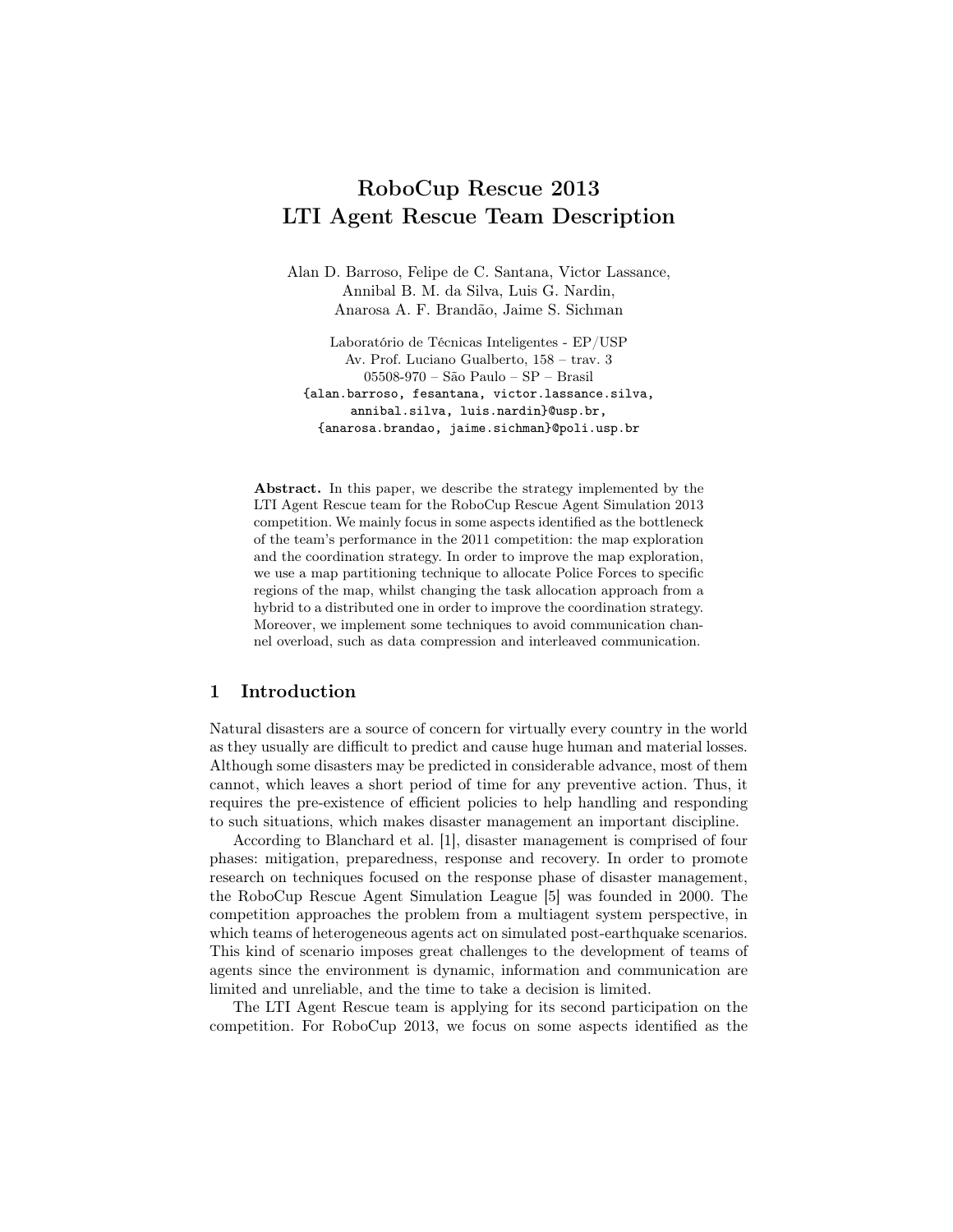# RoboCup Rescue 2013 LTI Agent Rescue Team Description

Alan D. Barroso, Felipe de C. Santana, Victor Lassance, Annibal B. M. da Silva, Luis G. Nardin, Anarosa A. F. Brandão, Jaime S. Sichman

Laboratório de Técnicas Inteligentes - EP/USP Av. Prof. Luciano Gualberto, 158 – trav. 3 05508-970 – São Paulo – SP – Brasil {alan.barroso, fesantana, victor.lassance.silva, annibal.silva, luis.nardin}@usp.br, {anarosa.brandao, jaime.sichman}@poli.usp.br

Abstract. In this paper, we describe the strategy implemented by the LTI Agent Rescue team for the RoboCup Rescue Agent Simulation 2013 competition. We mainly focus in some aspects identified as the bottleneck of the team's performance in the 2011 competition: the map exploration and the coordination strategy. In order to improve the map exploration, we use a map partitioning technique to allocate Police Forces to specific regions of the map, whilst changing the task allocation approach from a hybrid to a distributed one in order to improve the coordination strategy. Moreover, we implement some techniques to avoid communication channel overload, such as data compression and interleaved communication.

## 1 Introduction

Natural disasters are a source of concern for virtually every country in the world as they usually are difficult to predict and cause huge human and material losses. Although some disasters may be predicted in considerable advance, most of them cannot, which leaves a short period of time for any preventive action. Thus, it requires the pre-existence of efficient policies to help handling and responding to such situations, which makes disaster management an important discipline.

According to Blanchard et al. [1], disaster management is comprised of four phases: mitigation, preparedness, response and recovery. In order to promote research on techniques focused on the response phase of disaster management, the RoboCup Rescue Agent Simulation League [5] was founded in 2000. The competition approaches the problem from a multiagent system perspective, in which teams of heterogeneous agents act on simulated post-earthquake scenarios. This kind of scenario imposes great challenges to the development of teams of agents since the environment is dynamic, information and communication are limited and unreliable, and the time to take a decision is limited.

The LTI Agent Rescue team is applying for its second participation on the competition. For RoboCup 2013, we focus on some aspects identified as the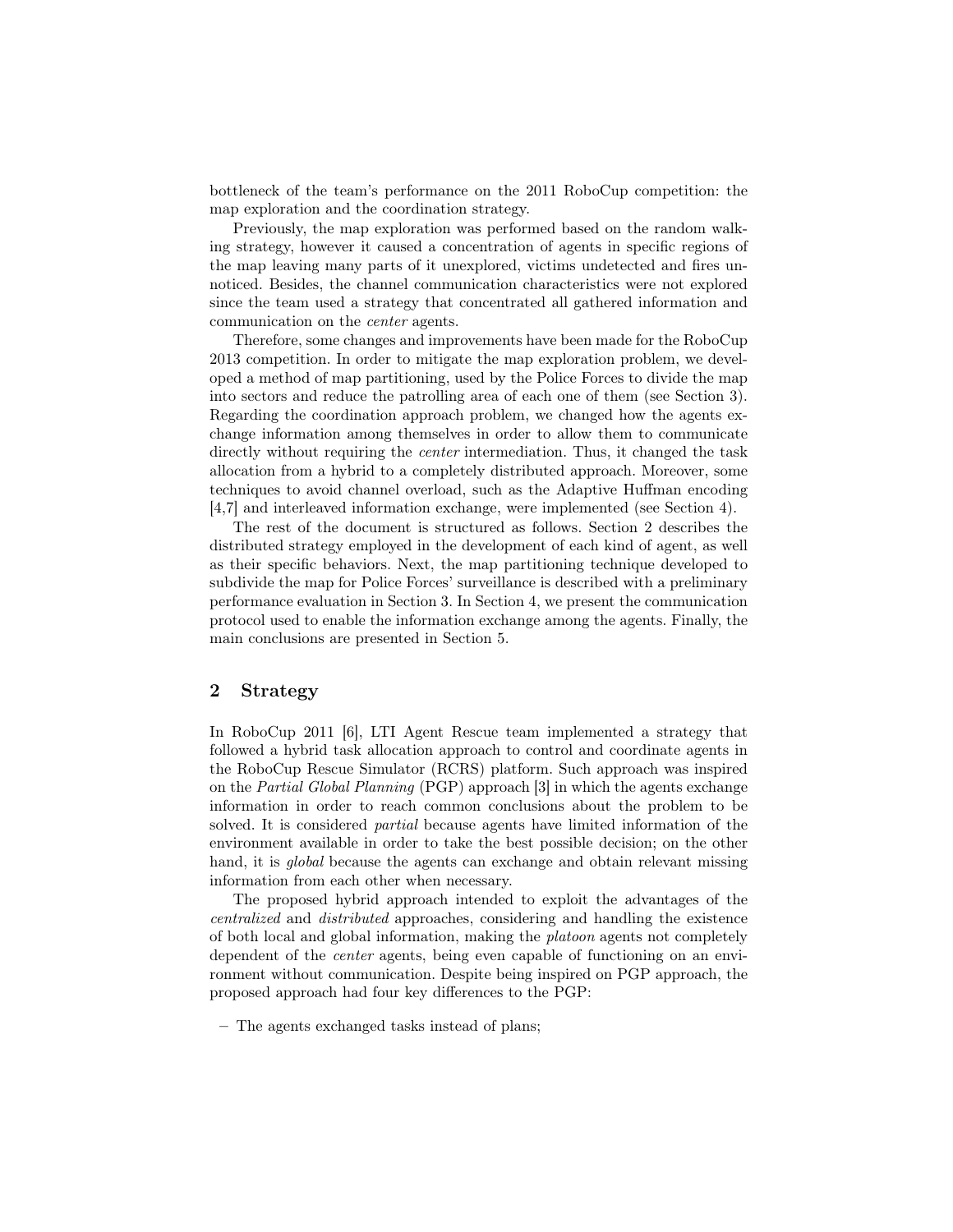bottleneck of the team's performance on the 2011 RoboCup competition: the map exploration and the coordination strategy.

Previously, the map exploration was performed based on the random walking strategy, however it caused a concentration of agents in specific regions of the map leaving many parts of it unexplored, victims undetected and fires unnoticed. Besides, the channel communication characteristics were not explored since the team used a strategy that concentrated all gathered information and communication on the center agents.

Therefore, some changes and improvements have been made for the RoboCup 2013 competition. In order to mitigate the map exploration problem, we developed a method of map partitioning, used by the Police Forces to divide the map into sectors and reduce the patrolling area of each one of them (see Section 3). Regarding the coordination approach problem, we changed how the agents exchange information among themselves in order to allow them to communicate directly without requiring the center intermediation. Thus, it changed the task allocation from a hybrid to a completely distributed approach. Moreover, some techniques to avoid channel overload, such as the Adaptive Huffman encoding [4,7] and interleaved information exchange, were implemented (see Section 4).

The rest of the document is structured as follows. Section 2 describes the distributed strategy employed in the development of each kind of agent, as well as their specific behaviors. Next, the map partitioning technique developed to subdivide the map for Police Forces' surveillance is described with a preliminary performance evaluation in Section 3. In Section 4, we present the communication protocol used to enable the information exchange among the agents. Finally, the main conclusions are presented in Section 5.

### 2 Strategy

In RoboCup 2011 [6], LTI Agent Rescue team implemented a strategy that followed a hybrid task allocation approach to control and coordinate agents in the RoboCup Rescue Simulator (RCRS) platform. Such approach was inspired on the Partial Global Planning (PGP) approach [3] in which the agents exchange information in order to reach common conclusions about the problem to be solved. It is considered partial because agents have limited information of the environment available in order to take the best possible decision; on the other hand, it is *qlobal* because the agents can exchange and obtain relevant missing information from each other when necessary.

The proposed hybrid approach intended to exploit the advantages of the centralized and distributed approaches, considering and handling the existence of both local and global information, making the platoon agents not completely dependent of the center agents, being even capable of functioning on an environment without communication. Despite being inspired on PGP approach, the proposed approach had four key differences to the PGP:

– The agents exchanged tasks instead of plans;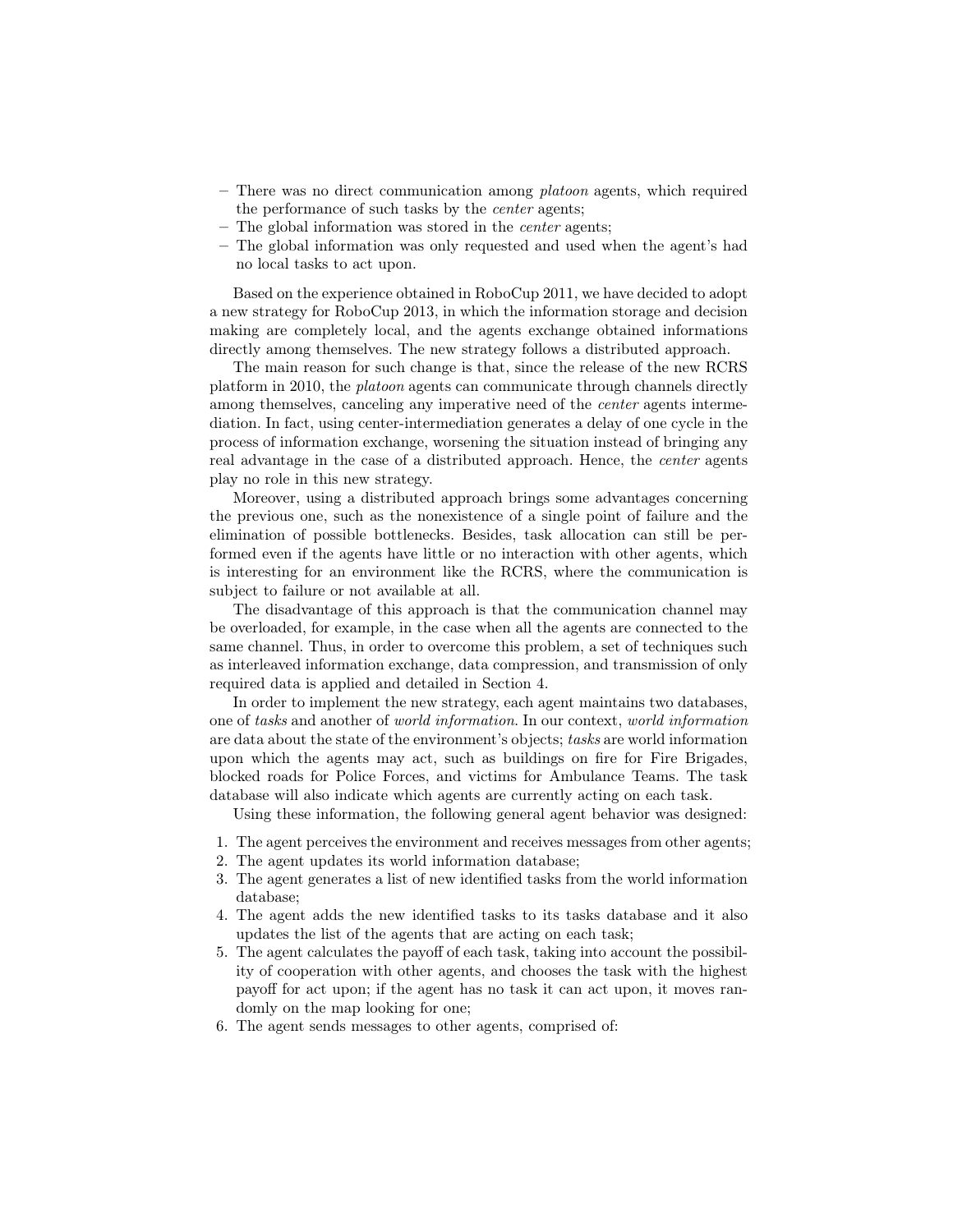- $-$  There was no direct communication among *platoon* agents, which required the performance of such tasks by the center agents;
- The global information was stored in the center agents;
- The global information was only requested and used when the agent's had no local tasks to act upon.

Based on the experience obtained in RoboCup 2011, we have decided to adopt a new strategy for RoboCup 2013, in which the information storage and decision making are completely local, and the agents exchange obtained informations directly among themselves. The new strategy follows a distributed approach.

The main reason for such change is that, since the release of the new RCRS platform in 2010, the platoon agents can communicate through channels directly among themselves, canceling any imperative need of the center agents intermediation. In fact, using center-intermediation generates a delay of one cycle in the process of information exchange, worsening the situation instead of bringing any real advantage in the case of a distributed approach. Hence, the center agents play no role in this new strategy.

Moreover, using a distributed approach brings some advantages concerning the previous one, such as the nonexistence of a single point of failure and the elimination of possible bottlenecks. Besides, task allocation can still be performed even if the agents have little or no interaction with other agents, which is interesting for an environment like the RCRS, where the communication is subject to failure or not available at all.

The disadvantage of this approach is that the communication channel may be overloaded, for example, in the case when all the agents are connected to the same channel. Thus, in order to overcome this problem, a set of techniques such as interleaved information exchange, data compression, and transmission of only required data is applied and detailed in Section 4.

In order to implement the new strategy, each agent maintains two databases, one of tasks and another of world information. In our context, world information are data about the state of the environment's objects; tasks are world information upon which the agents may act, such as buildings on fire for Fire Brigades, blocked roads for Police Forces, and victims for Ambulance Teams. The task database will also indicate which agents are currently acting on each task.

Using these information, the following general agent behavior was designed:

- 1. The agent perceives the environment and receives messages from other agents;
- 2. The agent updates its world information database;
- 3. The agent generates a list of new identified tasks from the world information database;
- 4. The agent adds the new identified tasks to its tasks database and it also updates the list of the agents that are acting on each task;
- 5. The agent calculates the payoff of each task, taking into account the possibility of cooperation with other agents, and chooses the task with the highest payoff for act upon; if the agent has no task it can act upon, it moves randomly on the map looking for one;
- 6. The agent sends messages to other agents, comprised of: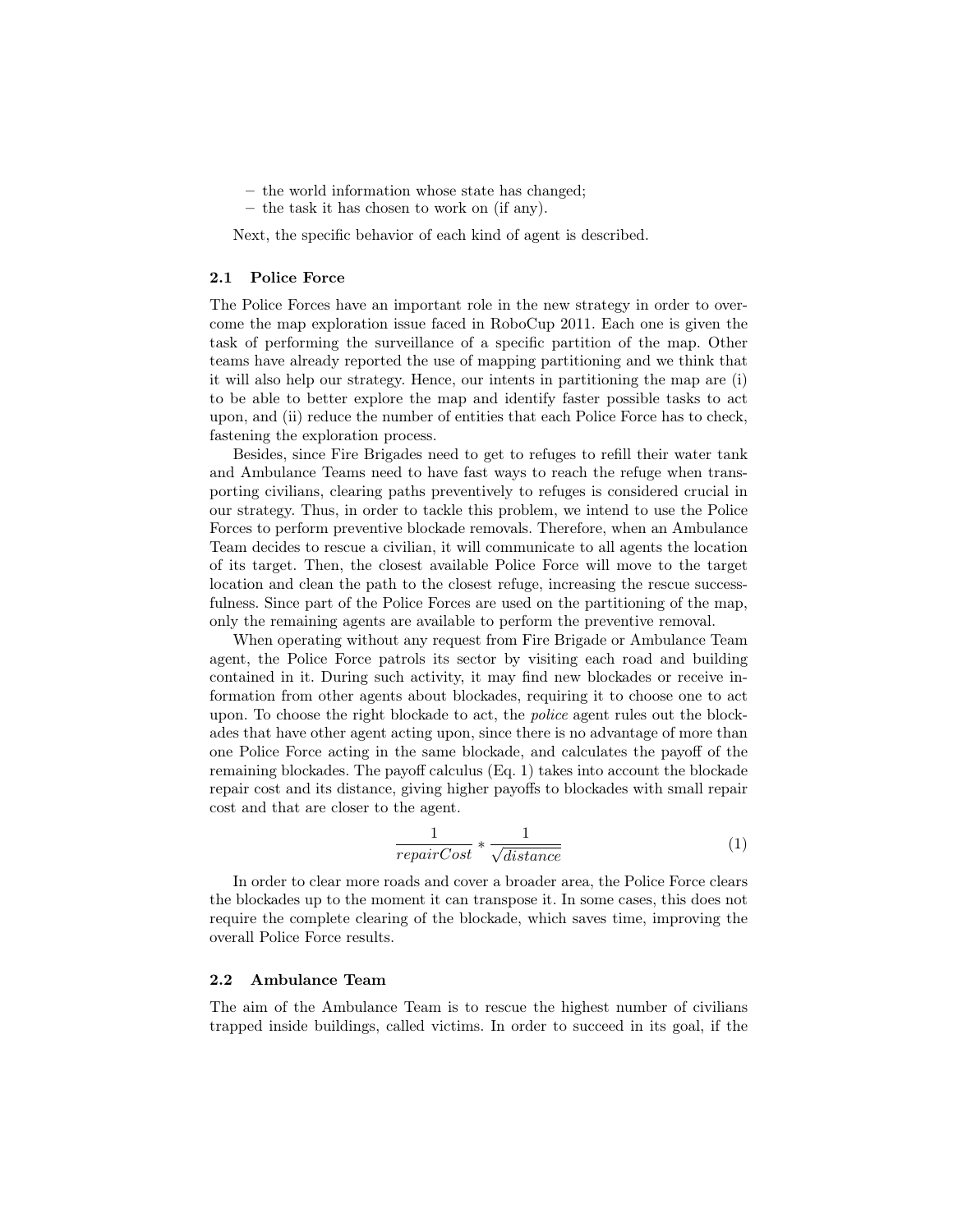– the world information whose state has changed;

– the task it has chosen to work on (if any).

Next, the specific behavior of each kind of agent is described.

#### 2.1 Police Force

The Police Forces have an important role in the new strategy in order to overcome the map exploration issue faced in RoboCup 2011. Each one is given the task of performing the surveillance of a specific partition of the map. Other teams have already reported the use of mapping partitioning and we think that it will also help our strategy. Hence, our intents in partitioning the map are (i) to be able to better explore the map and identify faster possible tasks to act upon, and (ii) reduce the number of entities that each Police Force has to check, fastening the exploration process.

Besides, since Fire Brigades need to get to refuges to refill their water tank and Ambulance Teams need to have fast ways to reach the refuge when transporting civilians, clearing paths preventively to refuges is considered crucial in our strategy. Thus, in order to tackle this problem, we intend to use the Police Forces to perform preventive blockade removals. Therefore, when an Ambulance Team decides to rescue a civilian, it will communicate to all agents the location of its target. Then, the closest available Police Force will move to the target location and clean the path to the closest refuge, increasing the rescue successfulness. Since part of the Police Forces are used on the partitioning of the map, only the remaining agents are available to perform the preventive removal.

When operating without any request from Fire Brigade or Ambulance Team agent, the Police Force patrols its sector by visiting each road and building contained in it. During such activity, it may find new blockades or receive information from other agents about blockades, requiring it to choose one to act upon. To choose the right blockade to act, the police agent rules out the blockades that have other agent acting upon, since there is no advantage of more than one Police Force acting in the same blockade, and calculates the payoff of the remaining blockades. The payoff calculus (Eq. 1) takes into account the blockade repair cost and its distance, giving higher payoffs to blockades with small repair cost and that are closer to the agent.

$$
\frac{1}{repairCost} * \frac{1}{\sqrt{distance}}
$$
 (1)

In order to clear more roads and cover a broader area, the Police Force clears the blockades up to the moment it can transpose it. In some cases, this does not require the complete clearing of the blockade, which saves time, improving the overall Police Force results.

#### 2.2 Ambulance Team

The aim of the Ambulance Team is to rescue the highest number of civilians trapped inside buildings, called victims. In order to succeed in its goal, if the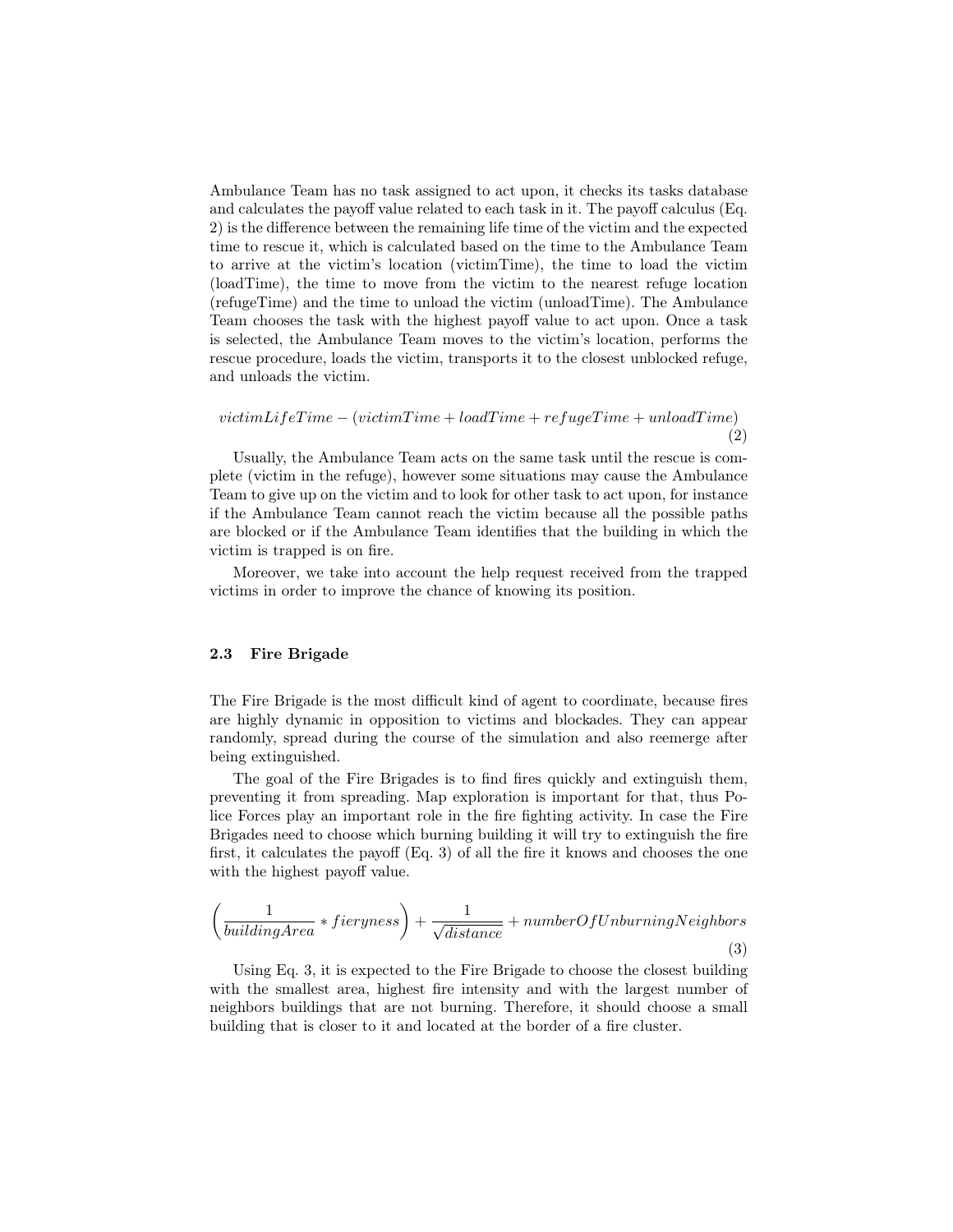Ambulance Team has no task assigned to act upon, it checks its tasks database and calculates the payoff value related to each task in it. The payoff calculus (Eq. 2) is the difference between the remaining life time of the victim and the expected time to rescue it, which is calculated based on the time to the Ambulance Team to arrive at the victim's location (victimTime), the time to load the victim (loadTime), the time to move from the victim to the nearest refuge location (refugeTime) and the time to unload the victim (unloadTime). The Ambulance Team chooses the task with the highest payoff value to act upon. Once a task is selected, the Ambulance Team moves to the victim's location, performs the rescue procedure, loads the victim, transports it to the closest unblocked refuge, and unloads the victim.

 $victimLifeTime - (victimTime + loadTime + refugeTime + unloadTime)$ (2)

Usually, the Ambulance Team acts on the same task until the rescue is complete (victim in the refuge), however some situations may cause the Ambulance Team to give up on the victim and to look for other task to act upon, for instance if the Ambulance Team cannot reach the victim because all the possible paths are blocked or if the Ambulance Team identifies that the building in which the victim is trapped is on fire.

Moreover, we take into account the help request received from the trapped victims in order to improve the chance of knowing its position.

#### 2.3 Fire Brigade

The Fire Brigade is the most difficult kind of agent to coordinate, because fires are highly dynamic in opposition to victims and blockades. They can appear randomly, spread during the course of the simulation and also reemerge after being extinguished.

The goal of the Fire Brigades is to find fires quickly and extinguish them, preventing it from spreading. Map exploration is important for that, thus Police Forces play an important role in the fire fighting activity. In case the Fire Brigades need to choose which burning building it will try to extinguish the fire first, it calculates the payoff (Eq. 3) of all the fire it knows and chooses the one with the highest payoff value.

$$
\left(\frac{1}{buildingArea} * fieryness\right) + \frac{1}{\sqrt{distance}} + numberOfUnburning Neighbors\tag{3}
$$

Using Eq. 3, it is expected to the Fire Brigade to choose the closest building with the smallest area, highest fire intensity and with the largest number of neighbors buildings that are not burning. Therefore, it should choose a small building that is closer to it and located at the border of a fire cluster.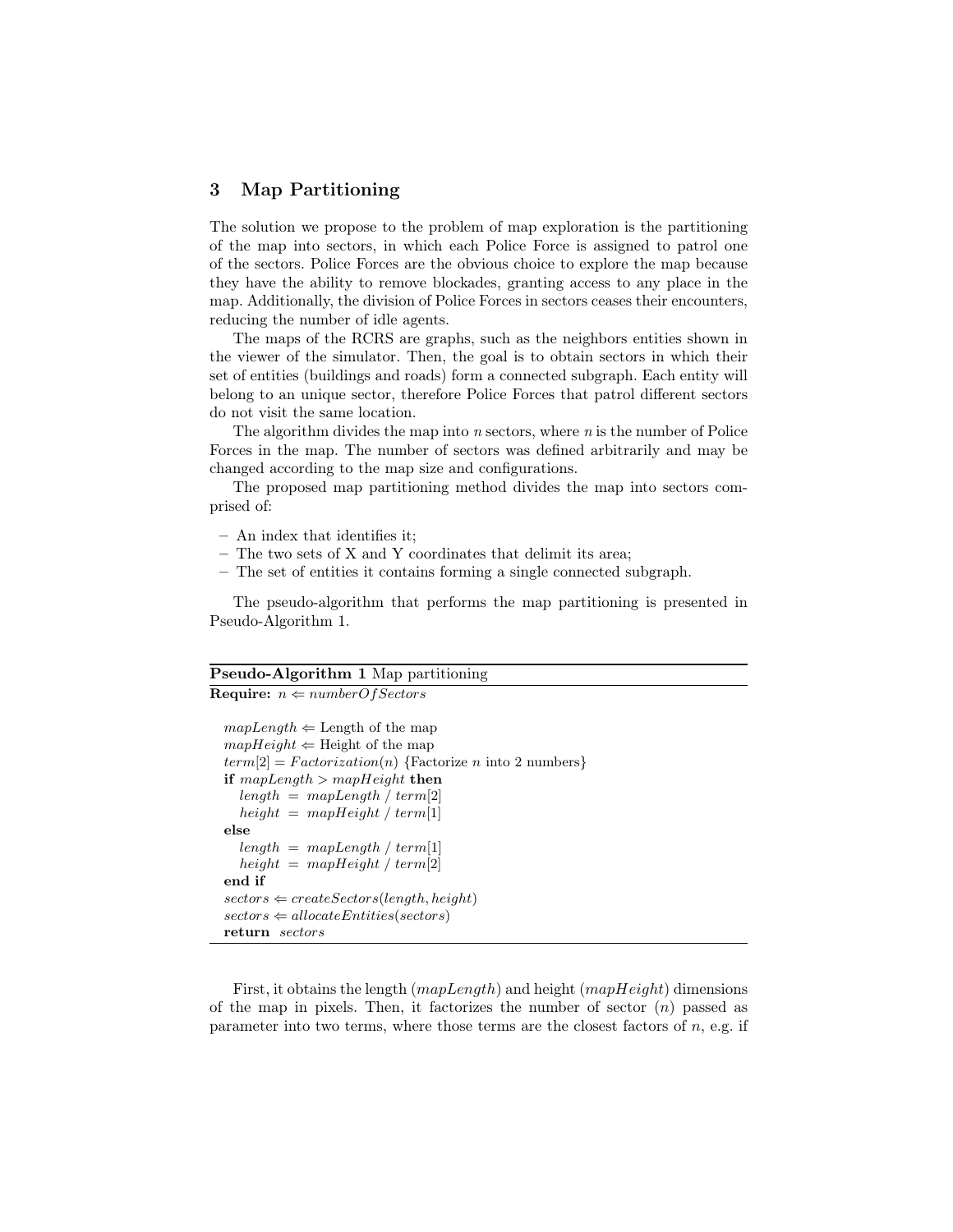### 3 Map Partitioning

The solution we propose to the problem of map exploration is the partitioning of the map into sectors, in which each Police Force is assigned to patrol one of the sectors. Police Forces are the obvious choice to explore the map because they have the ability to remove blockades, granting access to any place in the map. Additionally, the division of Police Forces in sectors ceases their encounters, reducing the number of idle agents.

The maps of the RCRS are graphs, such as the neighbors entities shown in the viewer of the simulator. Then, the goal is to obtain sectors in which their set of entities (buildings and roads) form a connected subgraph. Each entity will belong to an unique sector, therefore Police Forces that patrol different sectors do not visit the same location.

The algorithm divides the map into  $n$  sectors, where  $n$  is the number of Police Forces in the map. The number of sectors was defined arbitrarily and may be changed according to the map size and configurations.

The proposed map partitioning method divides the map into sectors comprised of:

- An index that identifies it;
- The two sets of X and Y coordinates that delimit its area;
- The set of entities it contains forming a single connected subgraph.

The pseudo-algorithm that performs the map partitioning is presented in Pseudo-Algorithm 1.

#### Pseudo-Algorithm 1 Map partitioning

**Require:**  $n \Leftarrow numberOfSections$ 

```
mapLength \Leftarrow Length of the map
mapHeight \Leftarrow Height of the map
term[2] = Factorization(n) {Factorize n into 2 numbers}
if mapLength > mapHeight then
  length = mapLength / term[2]height = mapHeight / term[1]else
  length = mapLength / term[1]height = mapHeight / term[2]end if
sectors \Leftarrow createSections(length, height)sectors \Leftarrow allocateEntities(sectors)return sectors
```
First, it obtains the length  $(mapLength)$  and height  $(mapHeight)$  dimensions of the map in pixels. Then, it factorizes the number of sector  $(n)$  passed as parameter into two terms, where those terms are the closest factors of  $n$ , e.g. if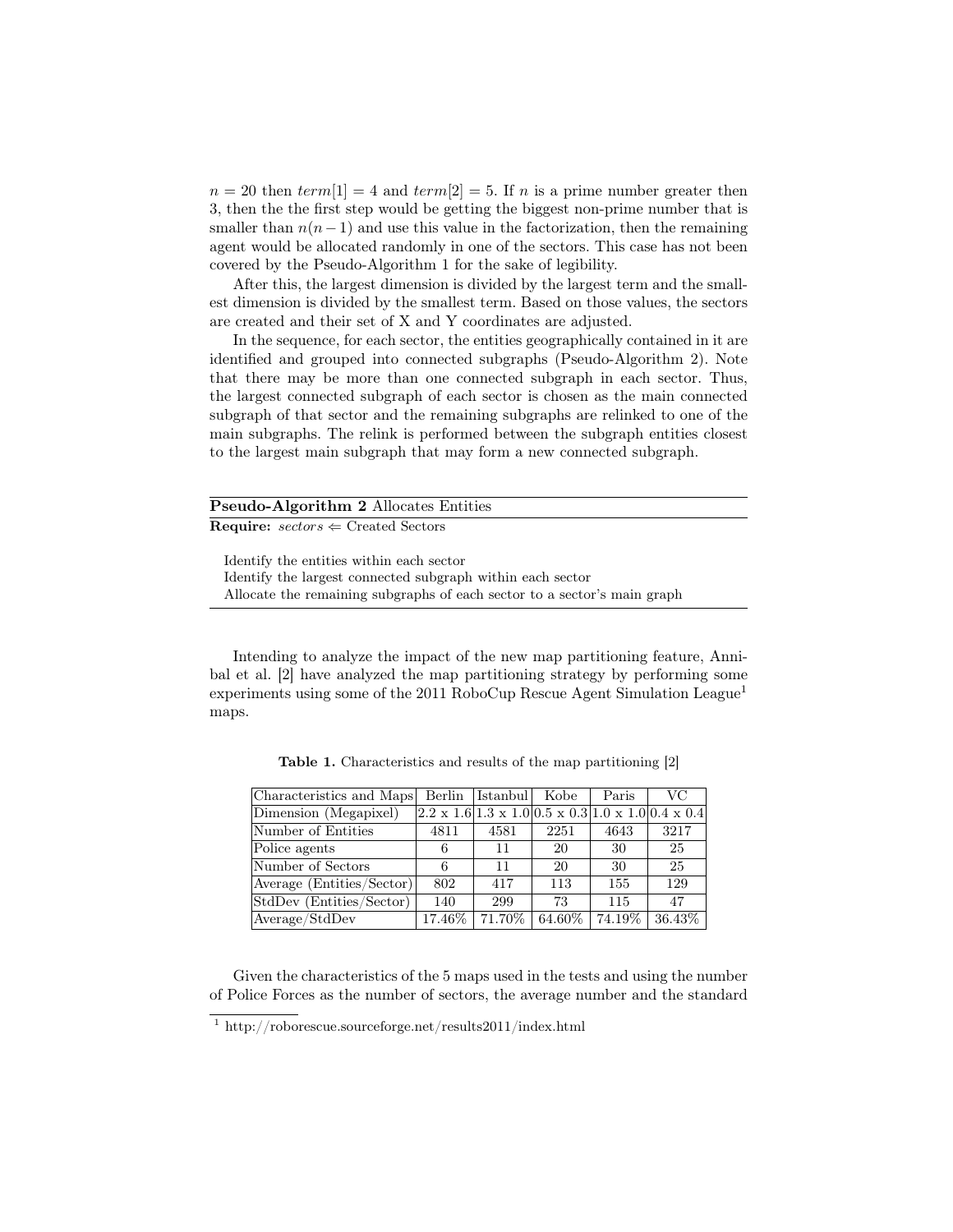$n = 20$  then  $term[1] = 4$  and  $term[2] = 5$ . If n is a prime number greater then 3, then the the first step would be getting the biggest non-prime number that is smaller than  $n(n-1)$  and use this value in the factorization, then the remaining agent would be allocated randomly in one of the sectors. This case has not been covered by the Pseudo-Algorithm 1 for the sake of legibility.

After this, the largest dimension is divided by the largest term and the smallest dimension is divided by the smallest term. Based on those values, the sectors are created and their set of X and Y coordinates are adjusted.

In the sequence, for each sector, the entities geographically contained in it are identified and grouped into connected subgraphs (Pseudo-Algorithm 2). Note that there may be more than one connected subgraph in each sector. Thus, the largest connected subgraph of each sector is chosen as the main connected subgraph of that sector and the remaining subgraphs are relinked to one of the main subgraphs. The relink is performed between the subgraph entities closest to the largest main subgraph that may form a new connected subgraph.

| <b>Pseudo-Algorithm 2 Allocates Entities</b> |                                                                                                        |  |  |  |  |
|----------------------------------------------|--------------------------------------------------------------------------------------------------------|--|--|--|--|
|                                              | <b>Require:</b> $sectors \Leftarrow$ Created Sectors                                                   |  |  |  |  |
|                                              | Identify the entities within each sector<br>Identify the largest connected subgraph within each sector |  |  |  |  |

Allocate the remaining subgraphs of each sector to a sector's main graph

Intending to analyze the impact of the new map partitioning feature, Annibal et al. [2] have analyzed the map partitioning strategy by performing some experiments using some of the 2011 RoboCup Rescue Agent Simulation League<sup>1</sup> maps.

| Characteristics and Maps        | Berlin    | Istanbul Kobe |           | Paris  | VC                                                                             |
|---------------------------------|-----------|---------------|-----------|--------|--------------------------------------------------------------------------------|
| Dimension (Megapixel)           |           |               |           |        | $[2.2 \times 1.6]1.3 \times 1.0]0.5 \times 0.3]1.0 \times 1.0]0.4 \times 0.4]$ |
| Number of Entities              | 4811      | 4581          | 2251      | 4643   | 3217                                                                           |
| Police agents                   | 6         | 11            | 20        | 30     | 25                                                                             |
| Number of Sectors               | 6         | 11            | 20        | 30     | 25                                                                             |
| Average (Entities/Sector)       | 802       | 417           | 113       | 155    | 129                                                                            |
| StdDev (Entities/Sector)        | 140       | 299           | 73        | 115    | 47                                                                             |
| $ Average / Std\overline{Dev} $ | $17.46\%$ | 71.70%        | $64.60\%$ | 74.19% | 36.43\%                                                                        |

Table 1. Characteristics and results of the map partitioning [2]

Given the characteristics of the 5 maps used in the tests and using the number of Police Forces as the number of sectors, the average number and the standard

<sup>1</sup> http://roborescue.sourceforge.net/results2011/index.html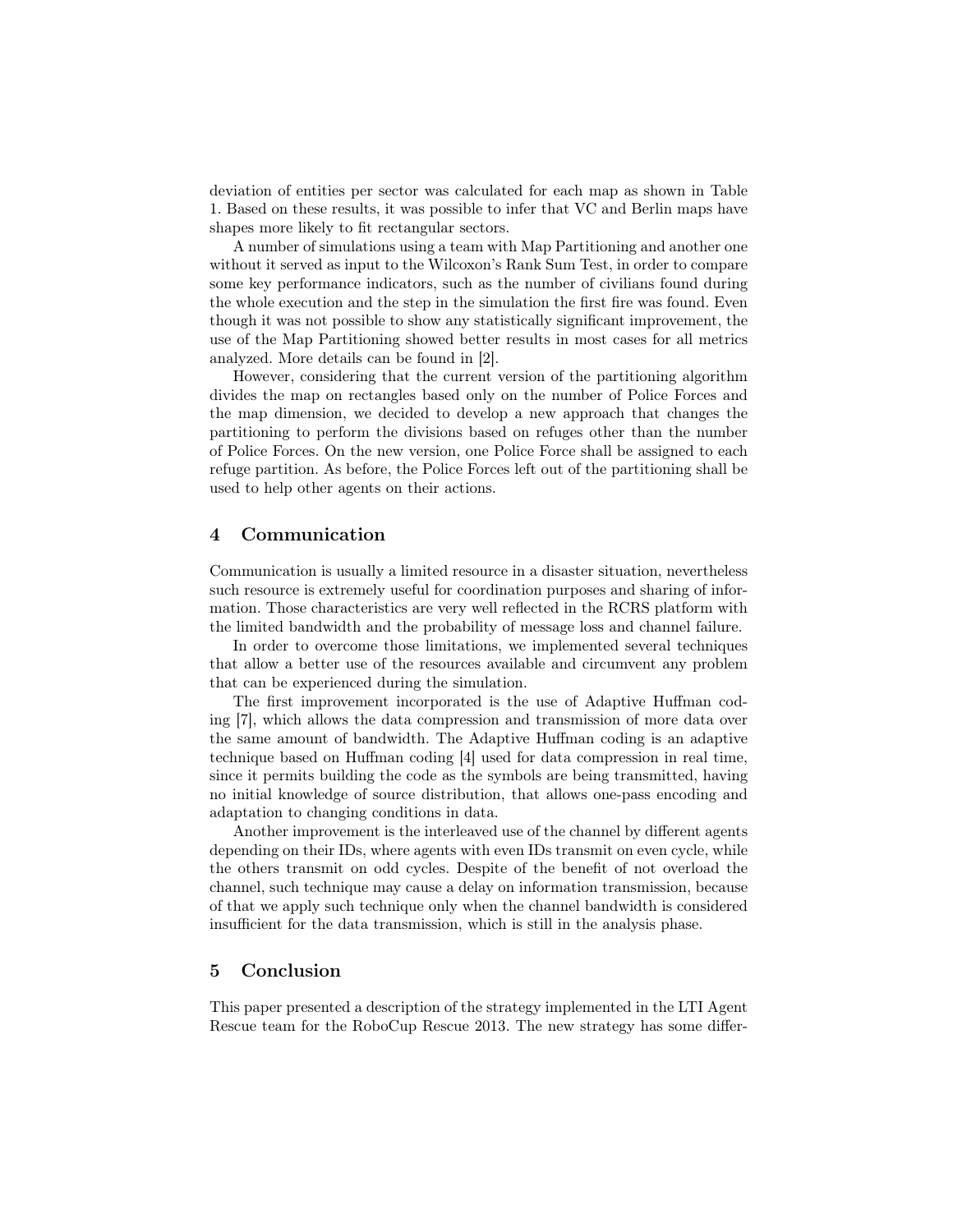deviation of entities per sector was calculated for each map as shown in Table 1. Based on these results, it was possible to infer that VC and Berlin maps have shapes more likely to fit rectangular sectors.

A number of simulations using a team with Map Partitioning and another one without it served as input to the Wilcoxon's Rank Sum Test, in order to compare some key performance indicators, such as the number of civilians found during the whole execution and the step in the simulation the first fire was found. Even though it was not possible to show any statistically significant improvement, the use of the Map Partitioning showed better results in most cases for all metrics analyzed. More details can be found in [2].

However, considering that the current version of the partitioning algorithm divides the map on rectangles based only on the number of Police Forces and the map dimension, we decided to develop a new approach that changes the partitioning to perform the divisions based on refuges other than the number of Police Forces. On the new version, one Police Force shall be assigned to each refuge partition. As before, the Police Forces left out of the partitioning shall be used to help other agents on their actions.

#### 4 Communication

Communication is usually a limited resource in a disaster situation, nevertheless such resource is extremely useful for coordination purposes and sharing of information. Those characteristics are very well reflected in the RCRS platform with the limited bandwidth and the probability of message loss and channel failure.

In order to overcome those limitations, we implemented several techniques that allow a better use of the resources available and circumvent any problem that can be experienced during the simulation.

The first improvement incorporated is the use of Adaptive Huffman coding [7], which allows the data compression and transmission of more data over the same amount of bandwidth. The Adaptive Huffman coding is an adaptive technique based on Huffman coding [4] used for data compression in real time, since it permits building the code as the symbols are being transmitted, having no initial knowledge of source distribution, that allows one-pass encoding and adaptation to changing conditions in data.

Another improvement is the interleaved use of the channel by different agents depending on their IDs, where agents with even IDs transmit on even cycle, while the others transmit on odd cycles. Despite of the benefit of not overload the channel, such technique may cause a delay on information transmission, because of that we apply such technique only when the channel bandwidth is considered insufficient for the data transmission, which is still in the analysis phase.

#### 5 Conclusion

This paper presented a description of the strategy implemented in the LTI Agent Rescue team for the RoboCup Rescue 2013. The new strategy has some differ